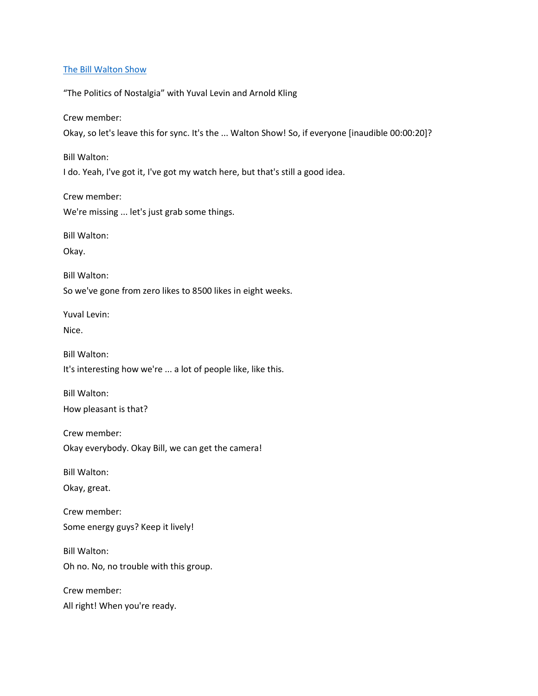#### [The Bill Walton Show](https://thebillwaltonshow.com/)

"The Politics of Nostalgia" with Yuval Levin and Arnold Kling

Crew member:

Okay, so let's leave this for sync. It's the ... Walton Show! So, if everyone [inaudible 00:00:20]?

Bill Walton:

I do. Yeah, I've got it, I've got my watch here, but that's still a good idea.

Crew member:

We're missing ... let's just grab some things.

Bill Walton:

Okay.

Bill Walton:

So we've gone from zero likes to 8500 likes in eight weeks.

Yuval Levin:

Nice.

Bill Walton: It's interesting how we're ... a lot of people like, like this.

Bill Walton: How pleasant is that?

Crew member: Okay everybody. Okay Bill, we can get the camera!

Bill Walton:

Okay, great.

Crew member: Some energy guys? Keep it lively!

Bill Walton: Oh no. No, no trouble with this group.

Crew member:

All right! When you're ready.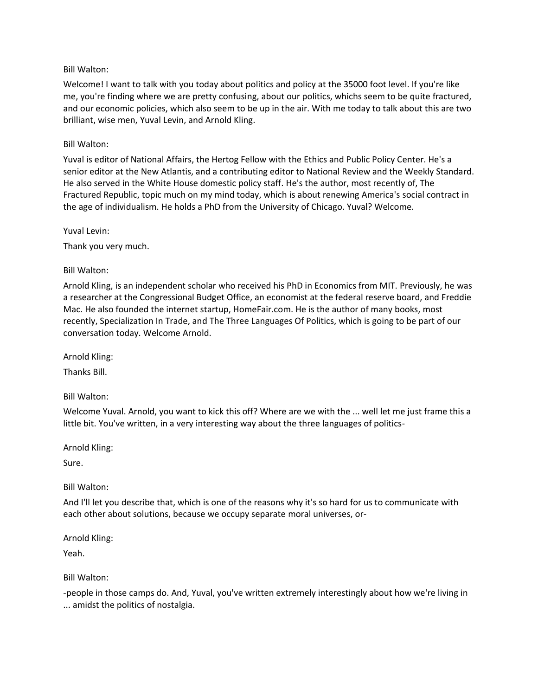Welcome! I want to talk with you today about politics and policy at the 35000 foot level. If you're like me, you're finding where we are pretty confusing, about our politics, whichs seem to be quite fractured, and our economic policies, which also seem to be up in the air. With me today to talk about this are two brilliant, wise men, Yuval Levin, and Arnold Kling.

#### Bill Walton:

Yuval is editor of National Affairs, the Hertog Fellow with the Ethics and Public Policy Center. He's a senior editor at the New Atlantis, and a contributing editor to National Review and the Weekly Standard. He also served in the White House domestic policy staff. He's the author, most recently of, The Fractured Republic, topic much on my mind today, which is about renewing America's social contract in the age of individualism. He holds a PhD from the University of Chicago. Yuval? Welcome.

Yuval Levin:

Thank you very much.

#### Bill Walton:

Arnold Kling, is an independent scholar who received his PhD in Economics from MIT. Previously, he was a researcher at the Congressional Budget Office, an economist at the federal reserve board, and Freddie Mac. He also founded the internet startup, HomeFair.com. He is the author of many books, most recently, Specialization In Trade, and The Three Languages Of Politics, which is going to be part of our conversation today. Welcome Arnold.

Arnold Kling:

Thanks Bill.

Bill Walton:

Welcome Yuval. Arnold, you want to kick this off? Where are we with the ... well let me just frame this a little bit. You've written, in a very interesting way about the three languages of politics-

Arnold Kling:

Sure.

Bill Walton:

And I'll let you describe that, which is one of the reasons why it's so hard for us to communicate with each other about solutions, because we occupy separate moral universes, or-

Arnold Kling:

Yeah.

#### Bill Walton:

-people in those camps do. And, Yuval, you've written extremely interestingly about how we're living in ... amidst the politics of nostalgia.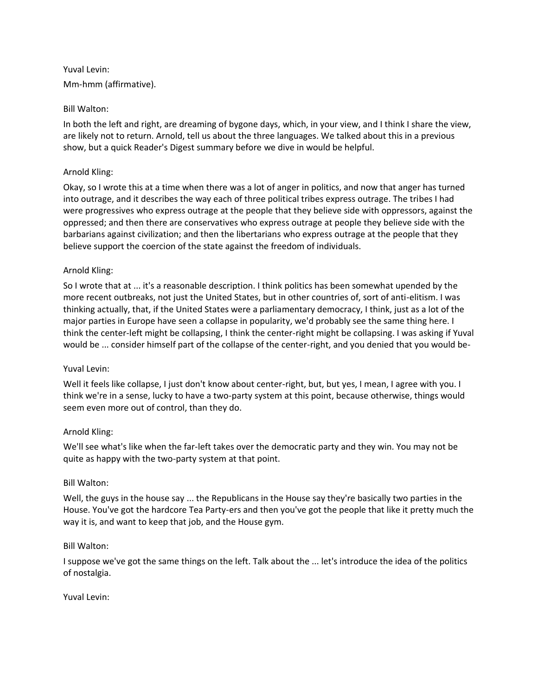# Yuval Levin: Mm-hmm (affirmative).

# Bill Walton:

In both the left and right, are dreaming of bygone days, which, in your view, and I think I share the view, are likely not to return. Arnold, tell us about the three languages. We talked about this in a previous show, but a quick Reader's Digest summary before we dive in would be helpful.

# Arnold Kling:

Okay, so I wrote this at a time when there was a lot of anger in politics, and now that anger has turned into outrage, and it describes the way each of three political tribes express outrage. The tribes I had were progressives who express outrage at the people that they believe side with oppressors, against the oppressed; and then there are conservatives who express outrage at people they believe side with the barbarians against civilization; and then the libertarians who express outrage at the people that they believe support the coercion of the state against the freedom of individuals.

# Arnold Kling:

So I wrote that at ... it's a reasonable description. I think politics has been somewhat upended by the more recent outbreaks, not just the United States, but in other countries of, sort of anti-elitism. I was thinking actually, that, if the United States were a parliamentary democracy, I think, just as a lot of the major parties in Europe have seen a collapse in popularity, we'd probably see the same thing here. I think the center-left might be collapsing, I think the center-right might be collapsing. I was asking if Yuval would be ... consider himself part of the collapse of the center-right, and you denied that you would be-

## Yuval Levin:

Well it feels like collapse, I just don't know about center-right, but, but yes, I mean, I agree with you. I think we're in a sense, lucky to have a two-party system at this point, because otherwise, things would seem even more out of control, than they do.

# Arnold Kling:

We'll see what's like when the far-left takes over the democratic party and they win. You may not be quite as happy with the two-party system at that point.

## Bill Walton:

Well, the guys in the house say ... the Republicans in the House say they're basically two parties in the House. You've got the hardcore Tea Party-ers and then you've got the people that like it pretty much the way it is, and want to keep that job, and the House gym.

## Bill Walton:

I suppose we've got the same things on the left. Talk about the ... let's introduce the idea of the politics of nostalgia.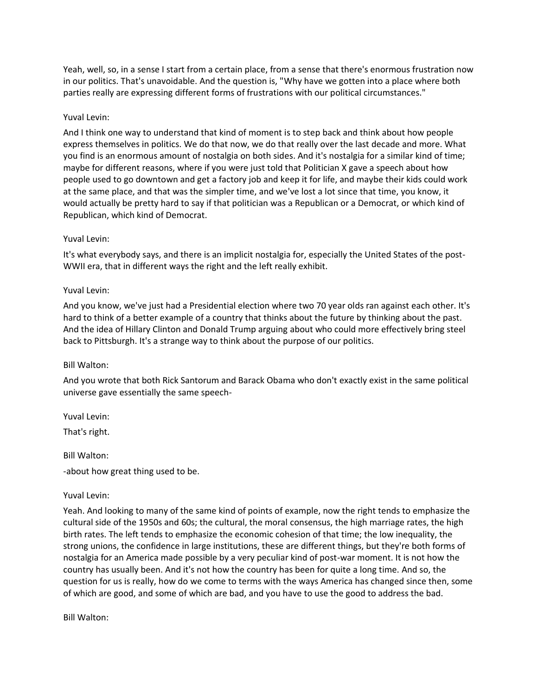Yeah, well, so, in a sense I start from a certain place, from a sense that there's enormous frustration now in our politics. That's unavoidable. And the question is, "Why have we gotten into a place where both parties really are expressing different forms of frustrations with our political circumstances."

## Yuval Levin:

And I think one way to understand that kind of moment is to step back and think about how people express themselves in politics. We do that now, we do that really over the last decade and more. What you find is an enormous amount of nostalgia on both sides. And it's nostalgia for a similar kind of time; maybe for different reasons, where if you were just told that Politician X gave a speech about how people used to go downtown and get a factory job and keep it for life, and maybe their kids could work at the same place, and that was the simpler time, and we've lost a lot since that time, you know, it would actually be pretty hard to say if that politician was a Republican or a Democrat, or which kind of Republican, which kind of Democrat.

# Yuval Levin:

It's what everybody says, and there is an implicit nostalgia for, especially the United States of the post-WWII era, that in different ways the right and the left really exhibit.

# Yuval Levin:

And you know, we've just had a Presidential election where two 70 year olds ran against each other. It's hard to think of a better example of a country that thinks about the future by thinking about the past. And the idea of Hillary Clinton and Donald Trump arguing about who could more effectively bring steel back to Pittsburgh. It's a strange way to think about the purpose of our politics.

## Bill Walton:

And you wrote that both Rick Santorum and Barack Obama who don't exactly exist in the same political universe gave essentially the same speech-

Yuval Levin:

That's right.

Bill Walton:

-about how great thing used to be.

## Yuval Levin:

Yeah. And looking to many of the same kind of points of example, now the right tends to emphasize the cultural side of the 1950s and 60s; the cultural, the moral consensus, the high marriage rates, the high birth rates. The left tends to emphasize the economic cohesion of that time; the low inequality, the strong unions, the confidence in large institutions, these are different things, but they're both forms of nostalgia for an America made possible by a very peculiar kind of post-war moment. It is not how the country has usually been. And it's not how the country has been for quite a long time. And so, the question for us is really, how do we come to terms with the ways America has changed since then, some of which are good, and some of which are bad, and you have to use the good to address the bad.

Bill Walton: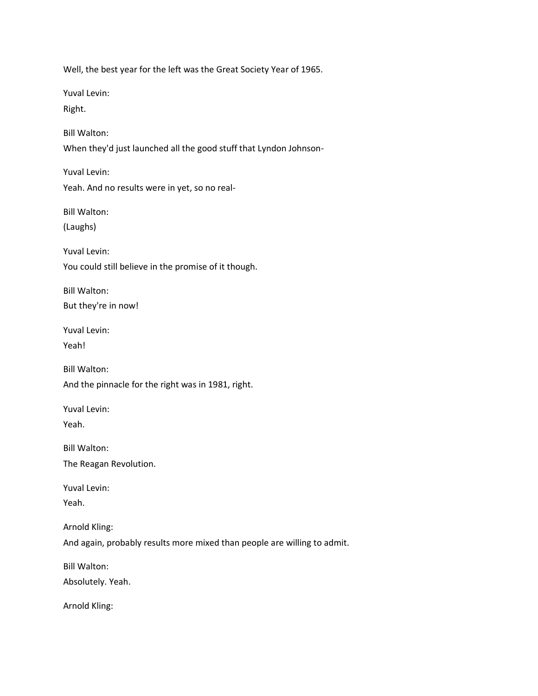Well, the best year for the left was the Great Society Year of 1965.

Yuval Levin:

Right.

Bill Walton:

When they'd just launched all the good stuff that Lyndon Johnson-

Yuval Levin: Yeah. And no results were in yet, so no real-

Bill Walton:

(Laughs)

Yuval Levin:

You could still believe in the promise of it though.

Bill Walton:

But they're in now!

Yuval Levin:

Yeah!

Bill Walton:

And the pinnacle for the right was in 1981, right.

Yuval Levin:

Yeah.

Bill Walton:

The Reagan Revolution.

Yuval Levin:

Yeah.

Arnold Kling:

And again, probably results more mixed than people are willing to admit.

Bill Walton:

Absolutely. Yeah.

Arnold Kling: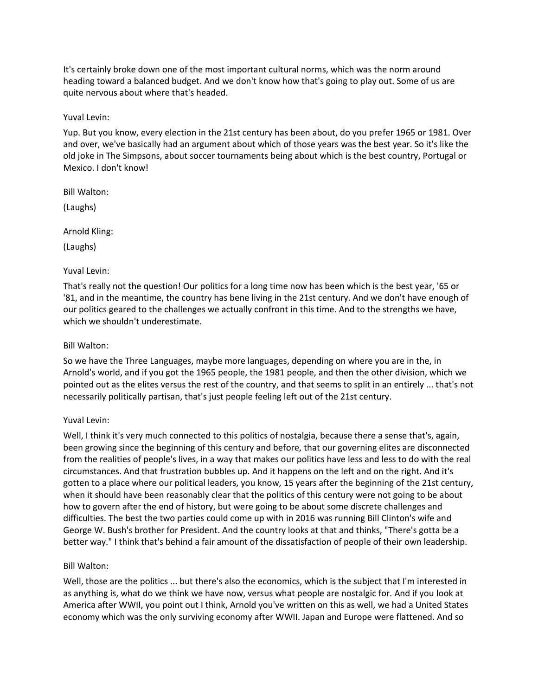It's certainly broke down one of the most important cultural norms, which was the norm around heading toward a balanced budget. And we don't know how that's going to play out. Some of us are quite nervous about where that's headed.

Yuval Levin:

Yup. But you know, every election in the 21st century has been about, do you prefer 1965 or 1981. Over and over, we've basically had an argument about which of those years was the best year. So it's like the old joke in The Simpsons, about soccer tournaments being about which is the best country, Portugal or Mexico. I don't know!

Bill Walton:

(Laughs)

Arnold Kling:

(Laughs)

Yuval Levin:

That's really not the question! Our politics for a long time now has been which is the best year, '65 or '81, and in the meantime, the country has bene living in the 21st century. And we don't have enough of our politics geared to the challenges we actually confront in this time. And to the strengths we have, which we shouldn't underestimate.

# Bill Walton:

So we have the Three Languages, maybe more languages, depending on where you are in the, in Arnold's world, and if you got the 1965 people, the 1981 people, and then the other division, which we pointed out as the elites versus the rest of the country, and that seems to split in an entirely ... that's not necessarily politically partisan, that's just people feeling left out of the 21st century.

# Yuval Levin:

Well, I think it's very much connected to this politics of nostalgia, because there a sense that's, again, been growing since the beginning of this century and before, that our governing elites are disconnected from the realities of people's lives, in a way that makes our politics have less and less to do with the real circumstances. And that frustration bubbles up. And it happens on the left and on the right. And it's gotten to a place where our political leaders, you know, 15 years after the beginning of the 21st century, when it should have been reasonably clear that the politics of this century were not going to be about how to govern after the end of history, but were going to be about some discrete challenges and difficulties. The best the two parties could come up with in 2016 was running Bill Clinton's wife and George W. Bush's brother for President. And the country looks at that and thinks, "There's gotta be a better way." I think that's behind a fair amount of the dissatisfaction of people of their own leadership.

## Bill Walton:

Well, those are the politics ... but there's also the economics, which is the subject that I'm interested in as anything is, what do we think we have now, versus what people are nostalgic for. And if you look at America after WWII, you point out I think, Arnold you've written on this as well, we had a United States economy which was the only surviving economy after WWII. Japan and Europe were flattened. And so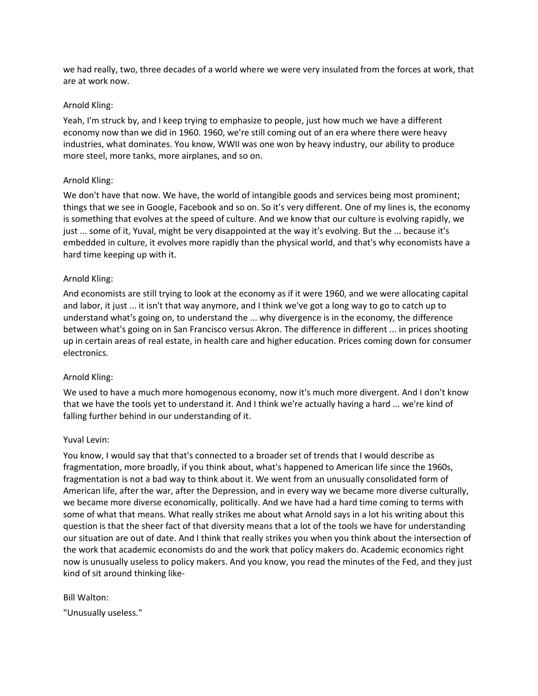we had really, two, three decades of a world where we were very insulated from the forces at work, that are at work now.

#### Arnold Kling:

Yeah, I'm struck by, and I keep trying to emphasize to people, just how much we have a different economy now than we did in 1960. 1960, we're still coming out of an era where there were heavy industries, what dominates. You know, WWII was one won by heavy industry, our ability to produce more steel, more tanks, more airplanes, and so on.

## Arnold Kling:

We don't have that now. We have, the world of intangible goods and services being most prominent; things that we see in Google, Facebook and so on. So it's very different. One of my lines is, the economy is something that evolves at the speed of culture. And we know that our culture is evolving rapidly, we just ... some of it, Yuval, might be very disappointed at the way it's evolving. But the ... because it's embedded in culture, it evolves more rapidly than the physical world, and that's why economists have a hard time keeping up with it.

## Arnold Kling:

And economists are still trying to look at the economy as if it were 1960, and we were allocating capital and labor, it just ... it isn't that way anymore, and I think we've got a long way to go to catch up to understand what's going on, to understand the ... why divergence is in the economy, the difference between what's going on in San Francisco versus Akron. The difference in different ... in prices shooting up in certain areas of real estate, in health care and higher education. Prices coming down for consumer electronics.

## Arnold Kling:

We used to have a much more homogenous economy, now it's much more divergent. And I don't know that we have the tools yet to understand it. And I think we're actually having a hard ... we're kind of falling further behind in our understanding of it.

## Yuval Levin:

You know, I would say that that's connected to a broader set of trends that I would describe as fragmentation, more broadly, if you think about, what's happened to American life since the 1960s, fragmentation is not a bad way to think about it. We went from an unusually consolidated form of American life, after the war, after the Depression, and in every way we became more diverse culturally, we became more diverse economically, politically. And we have had a hard time coming to terms with some of what that means. What really strikes me about what Arnold says in a lot his writing about this question is that the sheer fact of that diversity means that a lot of the tools we have for understanding our situation are out of date. And I think that really strikes you when you think about the intersection of the work that academic economists do and the work that policy makers do. Academic economics right now is unusually useless to policy makers. And you know, you read the minutes of the Fed, and they just kind of sit around thinking like-

#### Bill Walton:

"Unusually useless."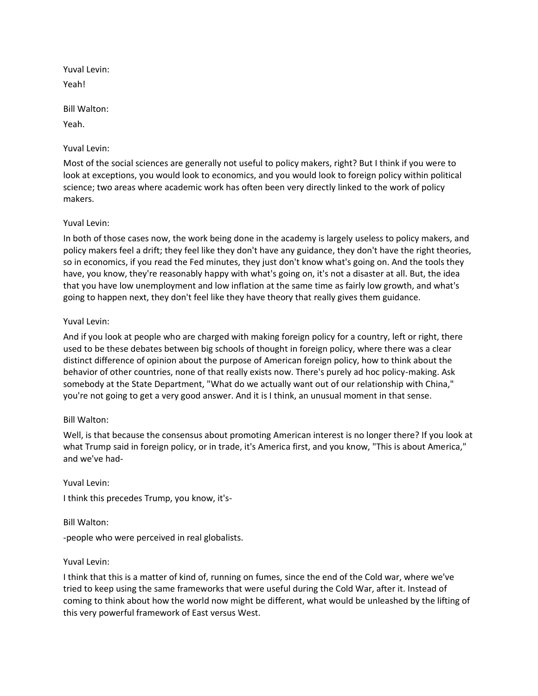Yuval Levin: Yeah!

Bill Walton:

Yeah.

Yuval Levin:

Most of the social sciences are generally not useful to policy makers, right? But I think if you were to look at exceptions, you would look to economics, and you would look to foreign policy within political science; two areas where academic work has often been very directly linked to the work of policy makers.

# Yuval Levin:

In both of those cases now, the work being done in the academy is largely useless to policy makers, and policy makers feel a drift; they feel like they don't have any guidance, they don't have the right theories, so in economics, if you read the Fed minutes, they just don't know what's going on. And the tools they have, you know, they're reasonably happy with what's going on, it's not a disaster at all. But, the idea that you have low unemployment and low inflation at the same time as fairly low growth, and what's going to happen next, they don't feel like they have theory that really gives them guidance.

# Yuval Levin:

And if you look at people who are charged with making foreign policy for a country, left or right, there used to be these debates between big schools of thought in foreign policy, where there was a clear distinct difference of opinion about the purpose of American foreign policy, how to think about the behavior of other countries, none of that really exists now. There's purely ad hoc policy-making. Ask somebody at the State Department, "What do we actually want out of our relationship with China," you're not going to get a very good answer. And it is I think, an unusual moment in that sense.

## Bill Walton:

Well, is that because the consensus about promoting American interest is no longer there? If you look at what Trump said in foreign policy, or in trade, it's America first, and you know, "This is about America," and we've had-

Yuval Levin: I think this precedes Trump, you know, it's-

Bill Walton:

-people who were perceived in real globalists.

## Yuval Levin:

I think that this is a matter of kind of, running on fumes, since the end of the Cold war, where we've tried to keep using the same frameworks that were useful during the Cold War, after it. Instead of coming to think about how the world now might be different, what would be unleashed by the lifting of this very powerful framework of East versus West.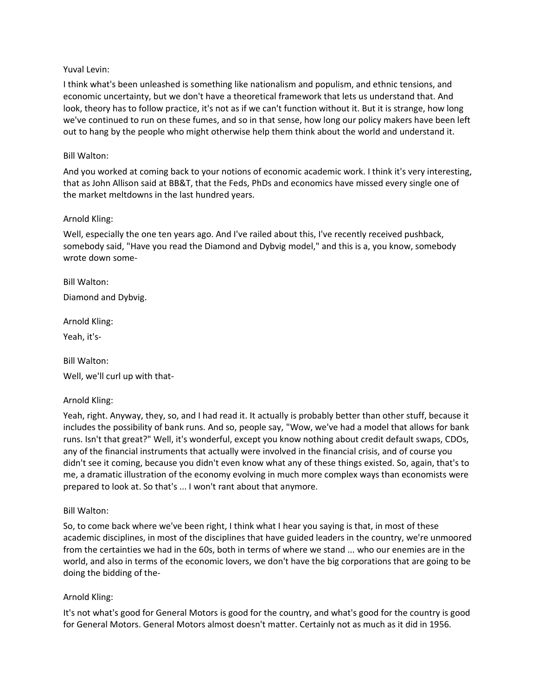## Yuval Levin:

I think what's been unleashed is something like nationalism and populism, and ethnic tensions, and economic uncertainty, but we don't have a theoretical framework that lets us understand that. And look, theory has to follow practice, it's not as if we can't function without it. But it is strange, how long we've continued to run on these fumes, and so in that sense, how long our policy makers have been left out to hang by the people who might otherwise help them think about the world and understand it.

## Bill Walton:

And you worked at coming back to your notions of economic academic work. I think it's very interesting, that as John Allison said at BB&T, that the Feds, PhDs and economics have missed every single one of the market meltdowns in the last hundred years.

# Arnold Kling:

Well, especially the one ten years ago. And I've railed about this, I've recently received pushback, somebody said, "Have you read the Diamond and Dybvig model," and this is a, you know, somebody wrote down some-

Bill Walton:

Diamond and Dybvig.

Arnold Kling:

Yeah, it's-

Bill Walton:

Well, we'll curl up with that-

## Arnold Kling:

Yeah, right. Anyway, they, so, and I had read it. It actually is probably better than other stuff, because it includes the possibility of bank runs. And so, people say, "Wow, we've had a model that allows for bank runs. Isn't that great?" Well, it's wonderful, except you know nothing about credit default swaps, CDOs, any of the financial instruments that actually were involved in the financial crisis, and of course you didn't see it coming, because you didn't even know what any of these things existed. So, again, that's to me, a dramatic illustration of the economy evolving in much more complex ways than economists were prepared to look at. So that's ... I won't rant about that anymore.

## Bill Walton:

So, to come back where we've been right, I think what I hear you saying is that, in most of these academic disciplines, in most of the disciplines that have guided leaders in the country, we're unmoored from the certainties we had in the 60s, both in terms of where we stand ... who our enemies are in the world, and also in terms of the economic lovers, we don't have the big corporations that are going to be doing the bidding of the-

## Arnold Kling:

It's not what's good for General Motors is good for the country, and what's good for the country is good for General Motors. General Motors almost doesn't matter. Certainly not as much as it did in 1956.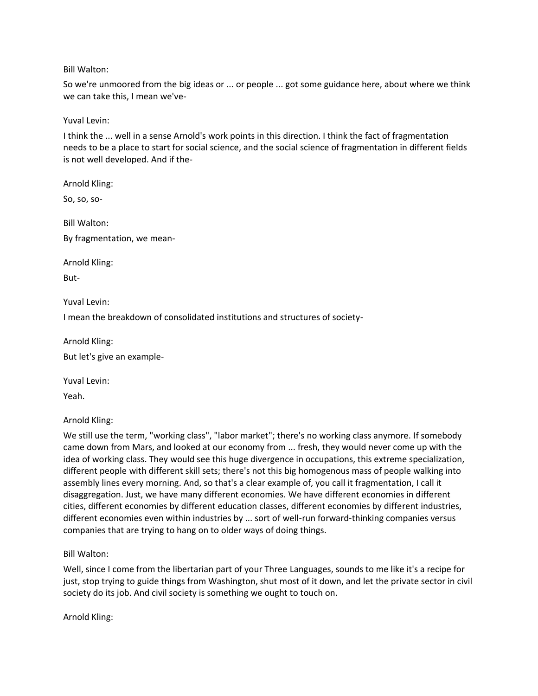So we're unmoored from the big ideas or ... or people ... got some guidance here, about where we think we can take this, I mean we've-

Yuval Levin:

I think the ... well in a sense Arnold's work points in this direction. I think the fact of fragmentation needs to be a place to start for social science, and the social science of fragmentation in different fields is not well developed. And if the-

Arnold Kling:

So, so, so-

Bill Walton: By fragmentation, we mean-

Arnold Kling:

But-

Yuval Levin:

I mean the breakdown of consolidated institutions and structures of society-

Arnold Kling:

But let's give an example-

Yuval Levin:

Yeah.

Arnold Kling:

We still use the term, "working class", "labor market"; there's no working class anymore. If somebody came down from Mars, and looked at our economy from ... fresh, they would never come up with the idea of working class. They would see this huge divergence in occupations, this extreme specialization, different people with different skill sets; there's not this big homogenous mass of people walking into assembly lines every morning. And, so that's a clear example of, you call it fragmentation, I call it disaggregation. Just, we have many different economies. We have different economies in different cities, different economies by different education classes, different economies by different industries, different economies even within industries by ... sort of well-run forward-thinking companies versus companies that are trying to hang on to older ways of doing things.

Bill Walton:

Well, since I come from the libertarian part of your Three Languages, sounds to me like it's a recipe for just, stop trying to guide things from Washington, shut most of it down, and let the private sector in civil society do its job. And civil society is something we ought to touch on.

Arnold Kling: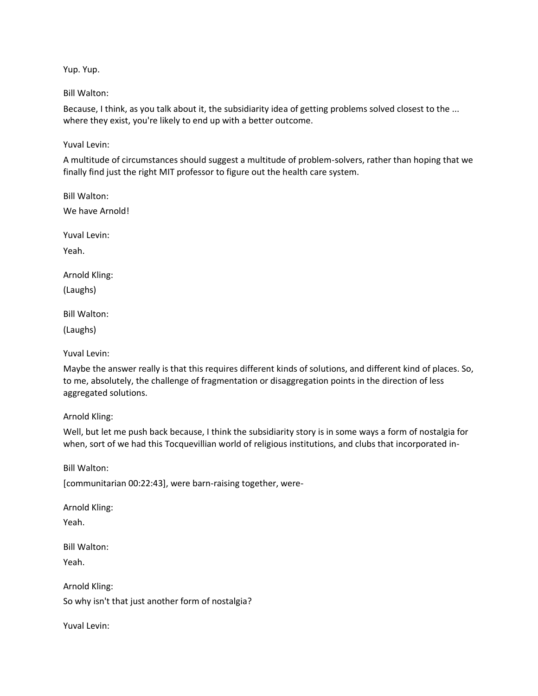Yup. Yup.

#### Bill Walton:

Because, I think, as you talk about it, the subsidiarity idea of getting problems solved closest to the ... where they exist, you're likely to end up with a better outcome.

#### Yuval Levin:

A multitude of circumstances should suggest a multitude of problem-solvers, rather than hoping that we finally find just the right MIT professor to figure out the health care system.

Bill Walton: We have Arnold! Yuval Levin:

Yeah.

Arnold Kling:

(Laughs)

Bill Walton:

(Laughs)

Yuval Levin:

Maybe the answer really is that this requires different kinds of solutions, and different kind of places. So, to me, absolutely, the challenge of fragmentation or disaggregation points in the direction of less aggregated solutions.

Arnold Kling:

Well, but let me push back because, I think the subsidiarity story is in some ways a form of nostalgia for when, sort of we had this Tocquevillian world of religious institutions, and clubs that incorporated in-

Bill Walton:

[communitarian 00:22:43], were barn-raising together, were-

Arnold Kling: Yeah.

Bill Walton:

Yeah.

Arnold Kling: So why isn't that just another form of nostalgia?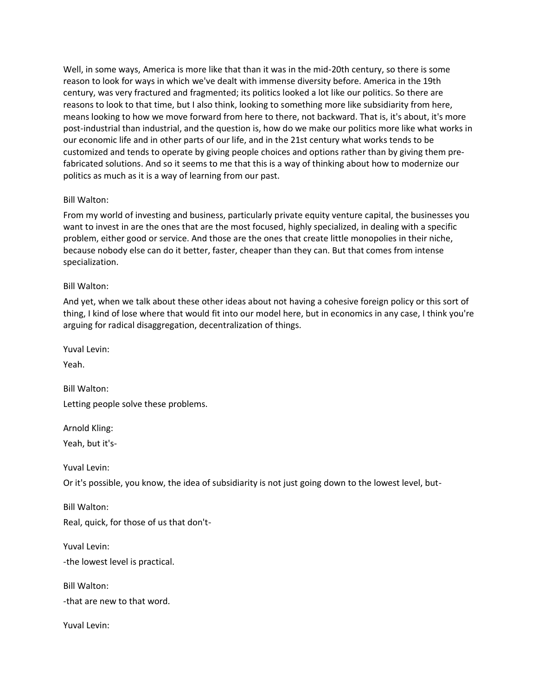Well, in some ways, America is more like that than it was in the mid-20th century, so there is some reason to look for ways in which we've dealt with immense diversity before. America in the 19th century, was very fractured and fragmented; its politics looked a lot like our politics. So there are reasons to look to that time, but I also think, looking to something more like subsidiarity from here, means looking to how we move forward from here to there, not backward. That is, it's about, it's more post-industrial than industrial, and the question is, how do we make our politics more like what works in our economic life and in other parts of our life, and in the 21st century what works tends to be customized and tends to operate by giving people choices and options rather than by giving them prefabricated solutions. And so it seems to me that this is a way of thinking about how to modernize our politics as much as it is a way of learning from our past.

## Bill Walton:

From my world of investing and business, particularly private equity venture capital, the businesses you want to invest in are the ones that are the most focused, highly specialized, in dealing with a specific problem, either good or service. And those are the ones that create little monopolies in their niche, because nobody else can do it better, faster, cheaper than they can. But that comes from intense specialization.

#### Bill Walton:

And yet, when we talk about these other ideas about not having a cohesive foreign policy or this sort of thing, I kind of lose where that would fit into our model here, but in economics in any case, I think you're arguing for radical disaggregation, decentralization of things.

Yuval Levin: Yeah. Bill Walton: Letting people solve these problems.

Arnold Kling: Yeah, but it's-

Yuval Levin:

Or it's possible, you know, the idea of subsidiarity is not just going down to the lowest level, but-

Bill Walton: Real, quick, for those of us that don't-

Yuval Levin:

-the lowest level is practical.

Bill Walton:

-that are new to that word.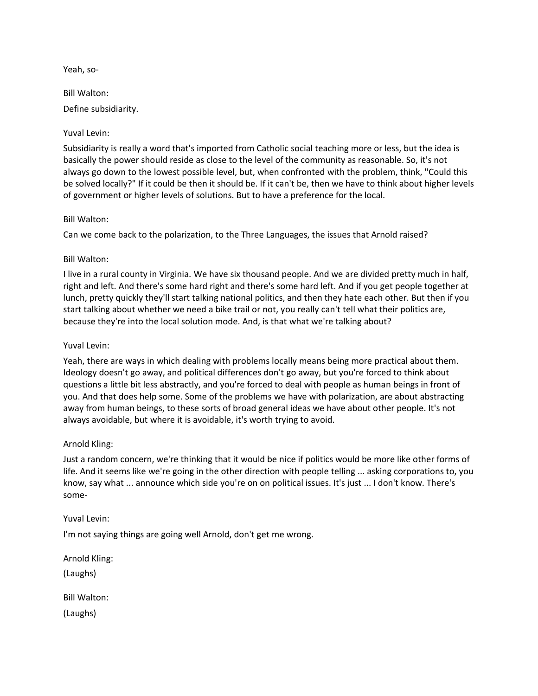Yeah, so-

Bill Walton:

Define subsidiarity.

# Yuval Levin:

Subsidiarity is really a word that's imported from Catholic social teaching more or less, but the idea is basically the power should reside as close to the level of the community as reasonable. So, it's not always go down to the lowest possible level, but, when confronted with the problem, think, "Could this be solved locally?" If it could be then it should be. If it can't be, then we have to think about higher levels of government or higher levels of solutions. But to have a preference for the local.

## Bill Walton:

Can we come back to the polarization, to the Three Languages, the issues that Arnold raised?

# Bill Walton:

I live in a rural county in Virginia. We have six thousand people. And we are divided pretty much in half, right and left. And there's some hard right and there's some hard left. And if you get people together at lunch, pretty quickly they'll start talking national politics, and then they hate each other. But then if you start talking about whether we need a bike trail or not, you really can't tell what their politics are, because they're into the local solution mode. And, is that what we're talking about?

## Yuval Levin:

Yeah, there are ways in which dealing with problems locally means being more practical about them. Ideology doesn't go away, and political differences don't go away, but you're forced to think about questions a little bit less abstractly, and you're forced to deal with people as human beings in front of you. And that does help some. Some of the problems we have with polarization, are about abstracting away from human beings, to these sorts of broad general ideas we have about other people. It's not always avoidable, but where it is avoidable, it's worth trying to avoid.

## Arnold Kling:

Just a random concern, we're thinking that it would be nice if politics would be more like other forms of life. And it seems like we're going in the other direction with people telling ... asking corporations to, you know, say what ... announce which side you're on on political issues. It's just ... I don't know. There's some-

## Yuval Levin:

I'm not saying things are going well Arnold, don't get me wrong.

Arnold Kling:

(Laughs)

Bill Walton:

(Laughs)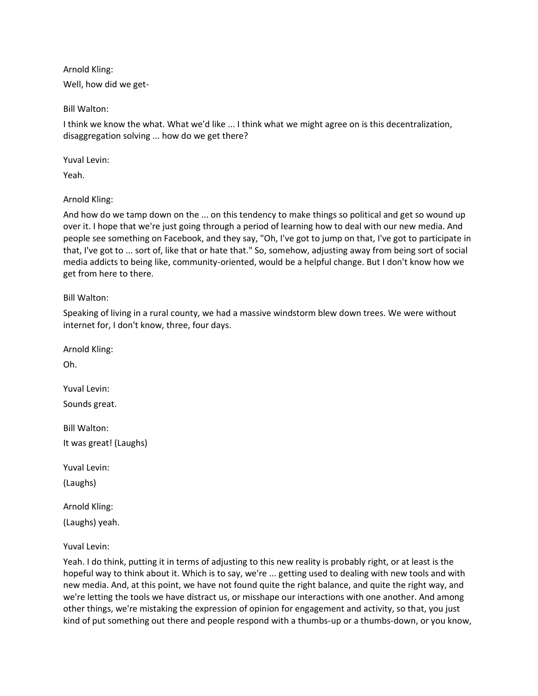Arnold Kling:

Well, how did we get-

Bill Walton:

I think we know the what. What we'd like ... I think what we might agree on is this decentralization, disaggregation solving ... how do we get there?

Yuval Levin:

Yeah.

Arnold Kling:

And how do we tamp down on the ... on this tendency to make things so political and get so wound up over it. I hope that we're just going through a period of learning how to deal with our new media. And people see something on Facebook, and they say, "Oh, I've got to jump on that, I've got to participate in that, I've got to ... sort of, like that or hate that." So, somehow, adjusting away from being sort of social media addicts to being like, community-oriented, would be a helpful change. But I don't know how we get from here to there.

Bill Walton:

Speaking of living in a rural county, we had a massive windstorm blew down trees. We were without internet for, I don't know, three, four days.

Arnold Kling: Oh. Yuval Levin: Sounds great. Bill Walton: It was great! (Laughs) Yuval Levin: (Laughs) Arnold Kling: (Laughs) yeah.

Yuval Levin:

Yeah. I do think, putting it in terms of adjusting to this new reality is probably right, or at least is the hopeful way to think about it. Which is to say, we're ... getting used to dealing with new tools and with new media. And, at this point, we have not found quite the right balance, and quite the right way, and we're letting the tools we have distract us, or misshape our interactions with one another. And among other things, we're mistaking the expression of opinion for engagement and activity, so that, you just kind of put something out there and people respond with a thumbs-up or a thumbs-down, or you know,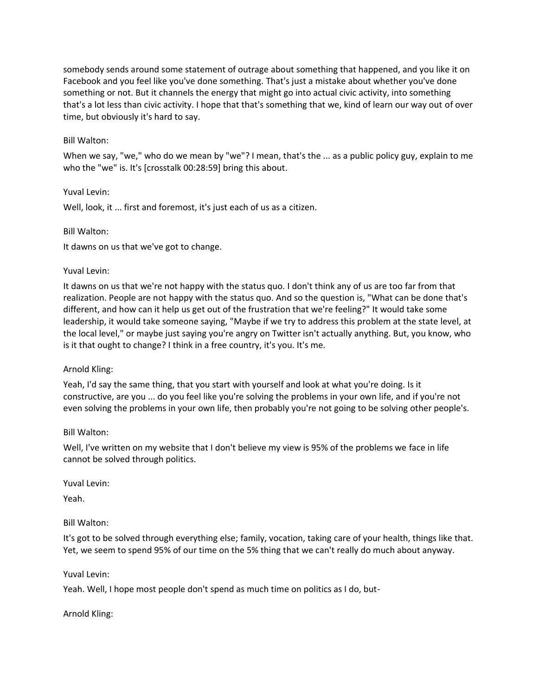somebody sends around some statement of outrage about something that happened, and you like it on Facebook and you feel like you've done something. That's just a mistake about whether you've done something or not. But it channels the energy that might go into actual civic activity, into something that's a lot less than civic activity. I hope that that's something that we, kind of learn our way out of over time, but obviously it's hard to say.

#### Bill Walton:

When we say, "we," who do we mean by "we"? I mean, that's the ... as a public policy guy, explain to me who the "we" is. It's [crosstalk 00:28:59] bring this about.

#### Yuval Levin:

Well, look, it ... first and foremost, it's just each of us as a citizen.

#### Bill Walton:

It dawns on us that we've got to change.

#### Yuval Levin:

It dawns on us that we're not happy with the status quo. I don't think any of us are too far from that realization. People are not happy with the status quo. And so the question is, "What can be done that's different, and how can it help us get out of the frustration that we're feeling?" It would take some leadership, it would take someone saying, "Maybe if we try to address this problem at the state level, at the local level," or maybe just saying you're angry on Twitter isn't actually anything. But, you know, who is it that ought to change? I think in a free country, it's you. It's me.

## Arnold Kling:

Yeah, I'd say the same thing, that you start with yourself and look at what you're doing. Is it constructive, are you ... do you feel like you're solving the problems in your own life, and if you're not even solving the problems in your own life, then probably you're not going to be solving other people's.

#### Bill Walton:

Well, I've written on my website that I don't believe my view is 95% of the problems we face in life cannot be solved through politics.

Yuval Levin:

Yeah.

## Bill Walton:

It's got to be solved through everything else; family, vocation, taking care of your health, things like that. Yet, we seem to spend 95% of our time on the 5% thing that we can't really do much about anyway.

Yuval Levin:

Yeah. Well, I hope most people don't spend as much time on politics as I do, but-

Arnold Kling: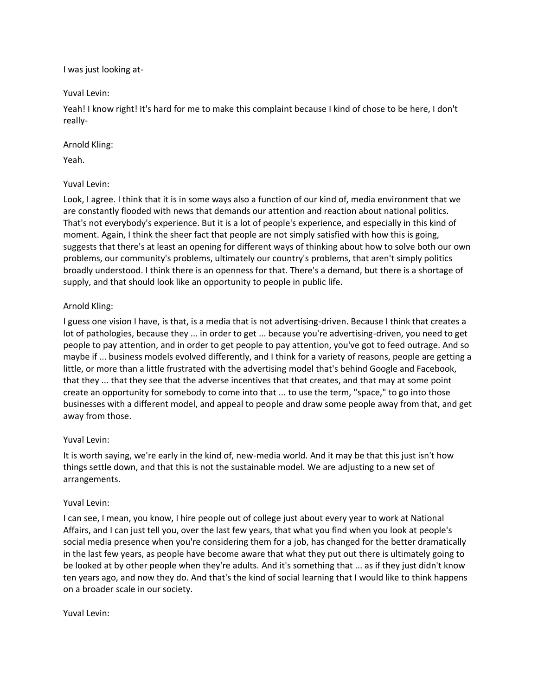I was just looking at-

Yuval Levin:

Yeah! I know right! It's hard for me to make this complaint because I kind of chose to be here, I don't really-

# Arnold Kling:

Yeah.

# Yuval Levin:

Look, I agree. I think that it is in some ways also a function of our kind of, media environment that we are constantly flooded with news that demands our attention and reaction about national politics. That's not everybody's experience. But it is a lot of people's experience, and especially in this kind of moment. Again, I think the sheer fact that people are not simply satisfied with how this is going, suggests that there's at least an opening for different ways of thinking about how to solve both our own problems, our community's problems, ultimately our country's problems, that aren't simply politics broadly understood. I think there is an openness for that. There's a demand, but there is a shortage of supply, and that should look like an opportunity to people in public life.

# Arnold Kling:

I guess one vision I have, is that, is a media that is not advertising-driven. Because I think that creates a lot of pathologies, because they ... in order to get ... because you're advertising-driven, you need to get people to pay attention, and in order to get people to pay attention, you've got to feed outrage. And so maybe if ... business models evolved differently, and I think for a variety of reasons, people are getting a little, or more than a little frustrated with the advertising model that's behind Google and Facebook, that they ... that they see that the adverse incentives that that creates, and that may at some point create an opportunity for somebody to come into that ... to use the term, "space," to go into those businesses with a different model, and appeal to people and draw some people away from that, and get away from those.

# Yuval Levin:

It is worth saying, we're early in the kind of, new-media world. And it may be that this just isn't how things settle down, and that this is not the sustainable model. We are adjusting to a new set of arrangements.

# Yuval Levin:

I can see, I mean, you know, I hire people out of college just about every year to work at National Affairs, and I can just tell you, over the last few years, that what you find when you look at people's social media presence when you're considering them for a job, has changed for the better dramatically in the last few years, as people have become aware that what they put out there is ultimately going to be looked at by other people when they're adults. And it's something that ... as if they just didn't know ten years ago, and now they do. And that's the kind of social learning that I would like to think happens on a broader scale in our society.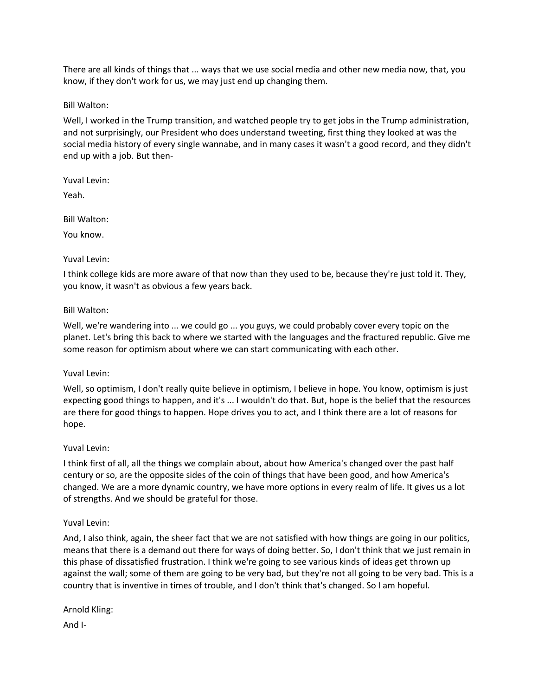There are all kinds of things that ... ways that we use social media and other new media now, that, you know, if they don't work for us, we may just end up changing them.

Bill Walton:

Well, I worked in the Trump transition, and watched people try to get jobs in the Trump administration, and not surprisingly, our President who does understand tweeting, first thing they looked at was the social media history of every single wannabe, and in many cases it wasn't a good record, and they didn't end up with a job. But then-

Yuval Levin:

Yeah.

Bill Walton:

You know.

#### Yuval Levin:

I think college kids are more aware of that now than they used to be, because they're just told it. They, you know, it wasn't as obvious a few years back.

#### Bill Walton:

Well, we're wandering into ... we could go ... you guys, we could probably cover every topic on the planet. Let's bring this back to where we started with the languages and the fractured republic. Give me some reason for optimism about where we can start communicating with each other.

## Yuval Levin:

Well, so optimism, I don't really quite believe in optimism, I believe in hope. You know, optimism is just expecting good things to happen, and it's ... I wouldn't do that. But, hope is the belief that the resources are there for good things to happen. Hope drives you to act, and I think there are a lot of reasons for hope.

## Yuval Levin:

I think first of all, all the things we complain about, about how America's changed over the past half century or so, are the opposite sides of the coin of things that have been good, and how America's changed. We are a more dynamic country, we have more options in every realm of life. It gives us a lot of strengths. And we should be grateful for those.

## Yuval Levin:

And, I also think, again, the sheer fact that we are not satisfied with how things are going in our politics, means that there is a demand out there for ways of doing better. So, I don't think that we just remain in this phase of dissatisfied frustration. I think we're going to see various kinds of ideas get thrown up against the wall; some of them are going to be very bad, but they're not all going to be very bad. This is a country that is inventive in times of trouble, and I don't think that's changed. So I am hopeful.

Arnold Kling:

And I-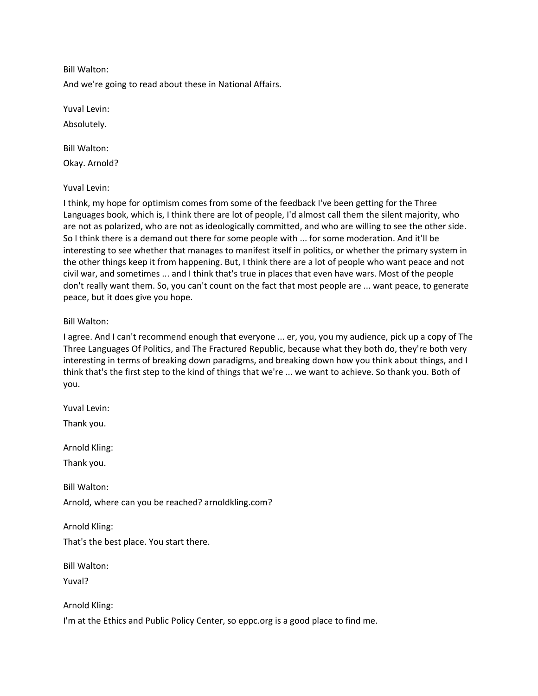And we're going to read about these in National Affairs.

Yuval Levin:

Absolutely.

Bill Walton: Okay. Arnold?

Yuval Levin:

I think, my hope for optimism comes from some of the feedback I've been getting for the Three Languages book, which is, I think there are lot of people, I'd almost call them the silent majority, who are not as polarized, who are not as ideologically committed, and who are willing to see the other side. So I think there is a demand out there for some people with ... for some moderation. And it'll be interesting to see whether that manages to manifest itself in politics, or whether the primary system in the other things keep it from happening. But, I think there are a lot of people who want peace and not civil war, and sometimes ... and I think that's true in places that even have wars. Most of the people don't really want them. So, you can't count on the fact that most people are ... want peace, to generate peace, but it does give you hope.

## Bill Walton:

I agree. And I can't recommend enough that everyone ... er, you, you my audience, pick up a copy of The Three Languages Of Politics, and The Fractured Republic, because what they both do, they're both very interesting in terms of breaking down paradigms, and breaking down how you think about things, and I think that's the first step to the kind of things that we're ... we want to achieve. So thank you. Both of you.

Yuval Levin:

Thank you.

Arnold Kling:

Thank you.

Bill Walton:

Arnold, where can you be reached? arnoldkling.com?

Arnold Kling:

That's the best place. You start there.

Bill Walton:

Yuval?

Arnold Kling:

I'm at the Ethics and Public Policy Center, so eppc.org is a good place to find me.